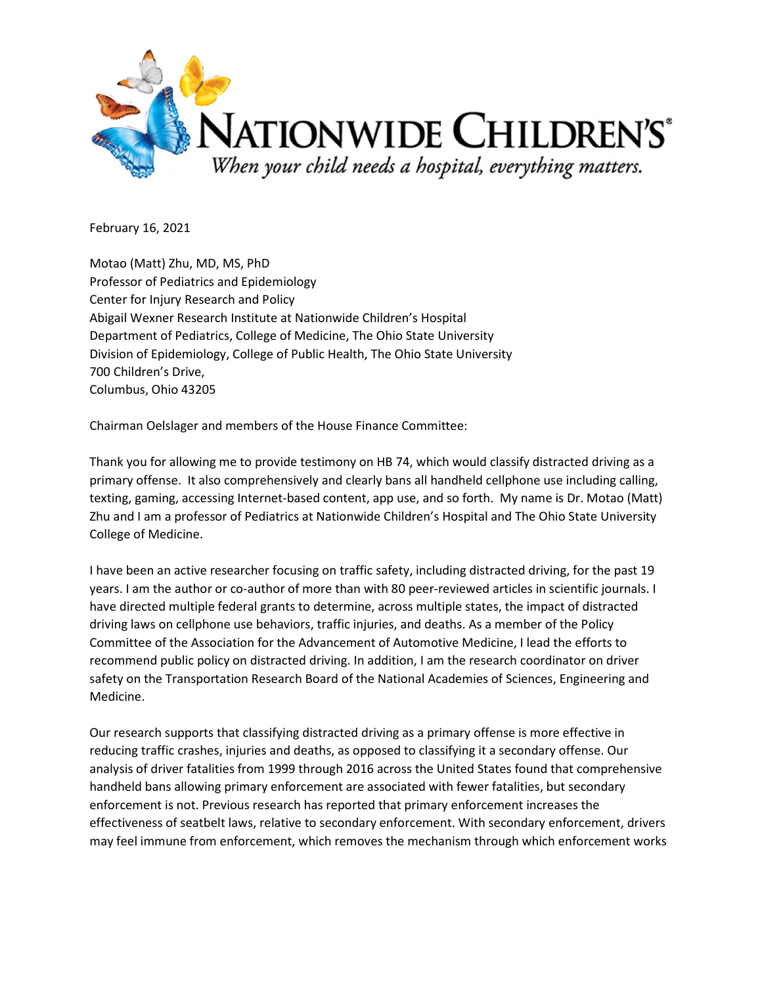

February 16, 2021

Motao (Matt) Zhu, MD, MS, PhD Professor of Pediatrics and Epidemiology Center for Injury Research and Policy Abigail Wexner Research Institute at Nationwide Children's Hospital Department of Pediatrics, College of Medicine, The Ohio State University Division of Epidemiology, College of Public Health, The Ohio State University 700 Children's Drive, Columbus, Ohio 43205

Chairman Oelslager and members of the House Finance Committee:

Thank you for allowing me to provide testimony on HB 74, which would classify distracted driving as a primary offense. It also comprehensively and clearly bans all handheld cellphone use including calling, texting, gaming, accessing Internet-based content, app use, and so forth. My name is Dr. Motao (Matt) Zhu and I am a professor of Pediatrics at Nationwide Children's Hospital and The Ohio State University College of Medicine.

I have been an active researcher focusing on traffic safety, including distracted driving, for the past 19 years. I am the author or co-author of more than with 80 peer-reviewed articles in scientific journals. I have directed multiple federal grants to determine, across multiple states, the impact of distracted driving laws on cellphone use behaviors, traffic injuries, and deaths. As a member of the Policy Committee of the Association for the Advancement of Automotive Medicine, I lead the efforts to recommend public policy on distracted driving. In addition, I am the research coordinator on driver safety on the Transportation Research Board of the National Academies of Sciences, Engineering and Medicine.

Our research supports that classifying distracted driving as a primary offense is more effective in reducing traffic crashes, injuries and deaths, as opposed to classifying it a secondary offense. Our analysis of driver fatalities from 1999 through 2016 across the United States found that comprehensive handheld bans allowing primary enforcement are associated with fewer fatalities, but secondary enforcement is not. Previous research has reported that primary enforcement increases the effectiveness of seatbelt laws, relative to secondary enforcement. With secondary enforcement, drivers may feel immune from enforcement, which removes the mechanism through which enforcement works